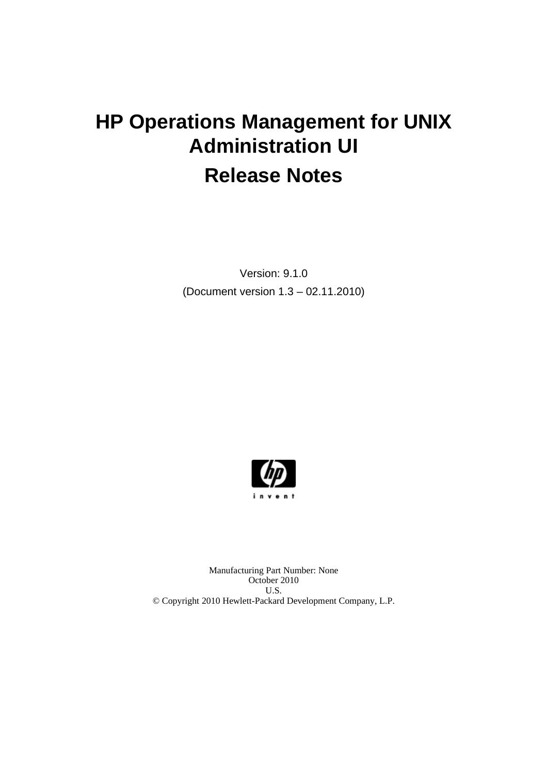# **HP Operations Management for UNIX Administration UI Release Notes**

Version: 9.1.0 (Document version 1.3 – 02.11.2010)



Manufacturing Part Number: None October 2010 U.S. © Copyright 2010 Hewlett-Packard Development Company, L.P.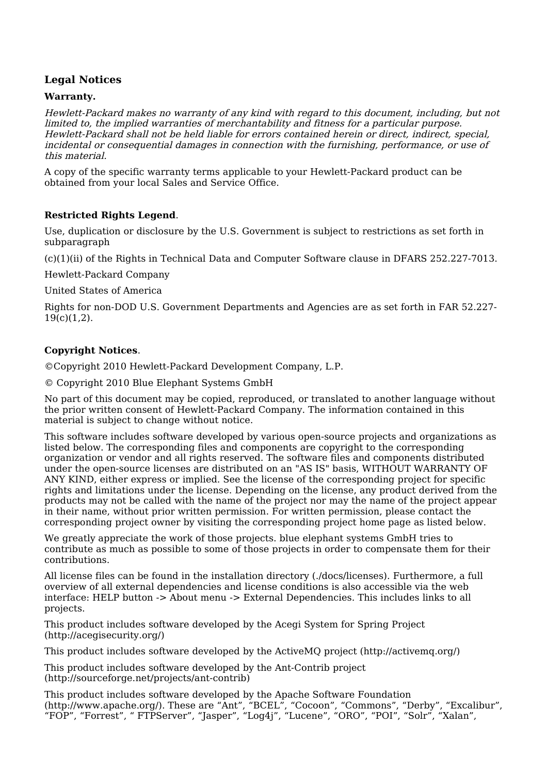# **Legal Notices**

#### **Warranty.**

Hewlett-Packard makes no warranty of any kind with regard to this document, including, but not limited to, the implied warranties of merchantability and fitness for a particular purpose. Hewlett-Packard shall not be held liable for errors contained herein or direct, indirect, special, incidental or consequential damages in connection with the furnishing, performance, or use of this material.

A copy of the specific warranty terms applicable to your Hewlett-Packard product can be obtained from your local Sales and Service Office.

#### **Restricted Rights Legend**.

Use, duplication or disclosure by the U.S. Government is subject to restrictions as set forth in subparagraph

(c)(1)(ii) of the Rights in Technical Data and Computer Software clause in DFARS 252.227-7013.

Hewlett-Packard Company

United States of America

Rights for non-DOD U.S. Government Departments and Agencies are as set forth in FAR 52.227-  $19(c)(1,2)$ .

#### **Copyright Notices**.

©Copyright 2010 Hewlett-Packard Development Company, L.P.

© Copyright 2010 Blue Elephant Systems GmbH

No part of this document may be copied, reproduced, or translated to another language without the prior written consent of Hewlett-Packard Company. The information contained in this material is subject to change without notice.

This software includes software developed by various open-source projects and organizations as listed below. The corresponding files and components are copyright to the corresponding organization or vendor and all rights reserved. The software files and components distributed under the open-source licenses are distributed on an "AS IS" basis, WITHOUT WARRANTY OF ANY KIND, either express or implied. See the license of the corresponding project for specific rights and limitations under the license. Depending on the license, any product derived from the products may not be called with the name of the project nor may the name of the project appear in their name, without prior written permission. For written permission, please contact the corresponding project owner by visiting the corresponding project home page as listed below.

We greatly appreciate the work of those projects. blue elephant systems GmbH tries to contribute as much as possible to some of those projects in order to compensate them for their contributions.

All license files can be found in the installation directory (./docs/licenses). Furthermore, a full overview of all external dependencies and license conditions is also accessible via the web interface: HELP button -> About menu -> External Dependencies. This includes links to all projects.

This product includes software developed by the Acegi System for Spring Project (http://acegisecurity.org/)

This product includes software developed by the ActiveMQ project (http://activemq.org/)

This product includes software developed by the Ant-Contrib project (http://sourceforge.net/projects/ant-contrib)

This product includes software developed by the Apache Software Foundation (http://www.apache.org/). These are "Ant", "BCEL", "Cocoon", "Commons", "Derby", "Excalibur", "FOP", "Forrest", " FTPServer", "Jasper", "Log4j", "Lucene", "ORO", "POI", "Solr", "Xalan",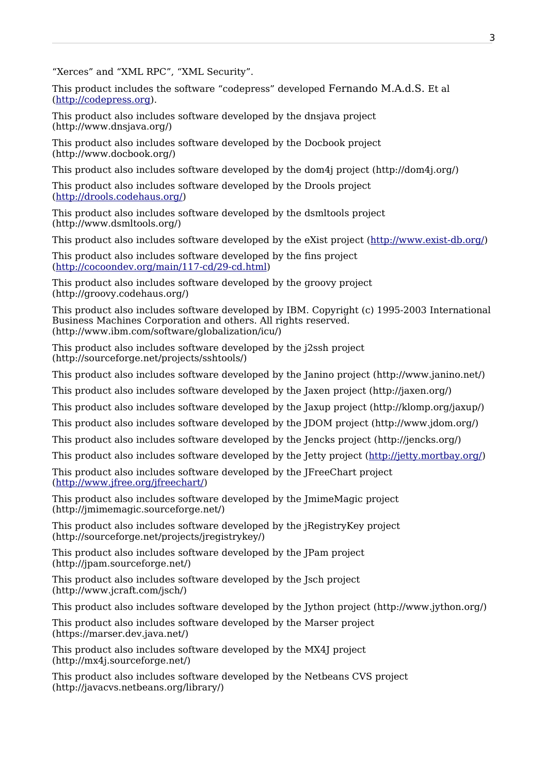"Xerces" and "XML RPC", "XML Security".

This product includes the software "codepress" developed Fernando M.A.d.S. Et al [\(http://codepress.org\)](http://codepress.org/).

This product also includes software developed by the dnsjava project (http://www.dnsjava.org/)

This product also includes software developed by the Docbook project (http://www.docbook.org/)

This product also includes software developed by the dom4j project (http://dom4j.org/)

This product also includes software developed by the Drools project [\(http://drools.codehaus.org/\)](http://drools.codehaus.org/)

This product also includes software developed by the dsmltools project (http://www.dsmltools.org/)

This product also includes software developed by the eXist project [\(http://www.exist-db.org/\)](http://www.exist-db.org/)

This product also includes software developed by the fins project [\(http://cocoondev.org/main/117-cd/29-cd.html\)](http://cocoondev.org/main/117-cd/29-cd.html)

This product also includes software developed by the groovy project (http://groovy.codehaus.org/)

This product also includes software developed by IBM. Copyright (c) 1995-2003 International Business Machines Corporation and others. All rights reserved. (http://www.ibm.com/software/globalization/icu/)

This product also includes software developed by the j2ssh project (http://sourceforge.net/projects/sshtools/)

This product also includes software developed by the Janino project (http://www.janino.net/)

This product also includes software developed by the Jaxen project (http://jaxen.org/)

This product also includes software developed by the Jaxup project (http://klomp.org/jaxup/)

This product also includes software developed by the JDOM project (http://www.jdom.org/)

This product also includes software developed by the Jencks project (http://jencks.org/)

This product also includes software developed by the Jetty project [\(http://jetty.mortbay.org/\)](http://jetty.mortbay.org/)

This product also includes software developed by the JFreeChart project [\(http://www.jfree.org/jfreechart/\)](http://www.jfree.org/jfreechart/)

This product also includes software developed by the JmimeMagic project (http://jmimemagic.sourceforge.net/)

This product also includes software developed by the jRegistryKey project (http://sourceforge.net/projects/jregistrykey/)

This product also includes software developed by the JPam project (http://jpam.sourceforge.net/)

This product also includes software developed by the Jsch project (http://www.jcraft.com/jsch/)

This product also includes software developed by the Jython project (http://www.jython.org/)

This product also includes software developed by the Marser project (https://marser.dev.java.net/)

This product also includes software developed by the MX4J project (http://mx4j.sourceforge.net/)

This product also includes software developed by the Netbeans CVS project (http://javacvs.netbeans.org/library/)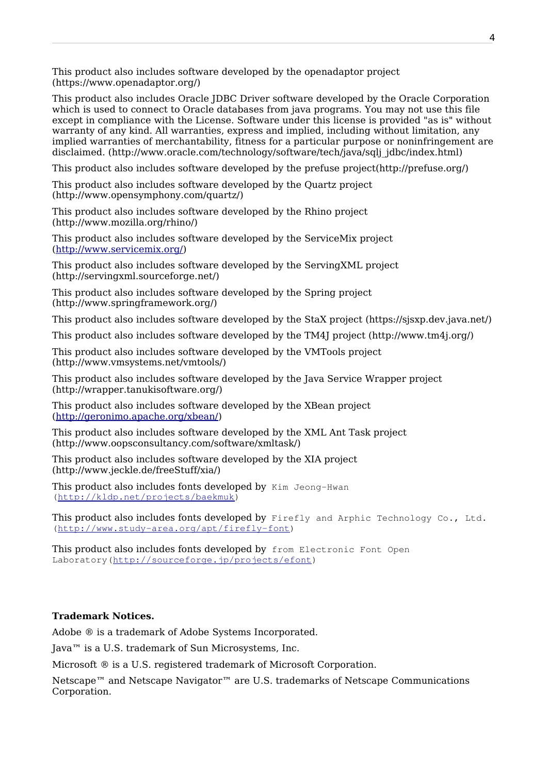This product also includes software developed by the openadaptor project (https://www.openadaptor.org/)

This product also includes Oracle JDBC Driver software developed by the Oracle Corporation which is used to connect to Oracle databases from java programs. You may not use this file except in compliance with the License. Software under this license is provided "as is" without warranty of any kind. All warranties, express and implied, including without limitation, any implied warranties of merchantability, fitness for a particular purpose or noninfringement are disclaimed. (http://www.oracle.com/technology/software/tech/java/sqlj\_jdbc/index.html)

This product also includes software developed by the prefuse project(http://prefuse.org/)

This product also includes software developed by the Quartz project (http://www.opensymphony.com/quartz/)

This product also includes software developed by the Rhino project (http://www.mozilla.org/rhino/)

This product also includes software developed by the ServiceMix project [\(http://www.servicemix.org/\)](http://www.servicemix.org/)

This product also includes software developed by the ServingXML project (http://servingxml.sourceforge.net/)

This product also includes software developed by the Spring project (http://www.springframework.org/)

This product also includes software developed by the StaX project (https://sjsxp.dev.java.net/)

This product also includes software developed by the TM4J project (http://www.tm4j.org/)

This product also includes software developed by the VMTools project (http://www.vmsystems.net/vmtools/)

This product also includes software developed by the Java Service Wrapper project (http://wrapper.tanukisoftware.org/)

This product also includes software developed by the XBean project [\(http://geronimo.apache.org/xbean/\)](http://geronimo.apache.org/xbean/)

This product also includes software developed by the XML Ant Task project (http://www.oopsconsultancy.com/software/xmltask/)

This product also includes software developed by the XIA project (http://www.jeckle.de/freeStuff/xia/)

This product also includes fonts developed by Kim Jeong-Hwan [\(http://kldp.net/projects/baekmuk\)](http://kldp.net/projects/baekmuk)

This product also includes fonts developed by Firefly and Arphic Technology Co., Ltd. (http://www.study-area.org/apt/firefly-font)

This product also includes fonts developed by from Electronic Font Open Laboratory[\(http://sourceforge.jp/projects/efont\)](http://sourceforge.jp/projects/efont)

#### **Trademark Notices.**

Adobe ® is a trademark of Adobe Systems Incorporated.

Java™ is a U.S. trademark of Sun Microsystems, Inc.

Microsoft ® is a U.S. registered trademark of Microsoft Corporation.

Netscape<sup>™</sup> and Netscape Navigator<sup>™</sup> are U.S. trademarks of Netscape Communications Corporation.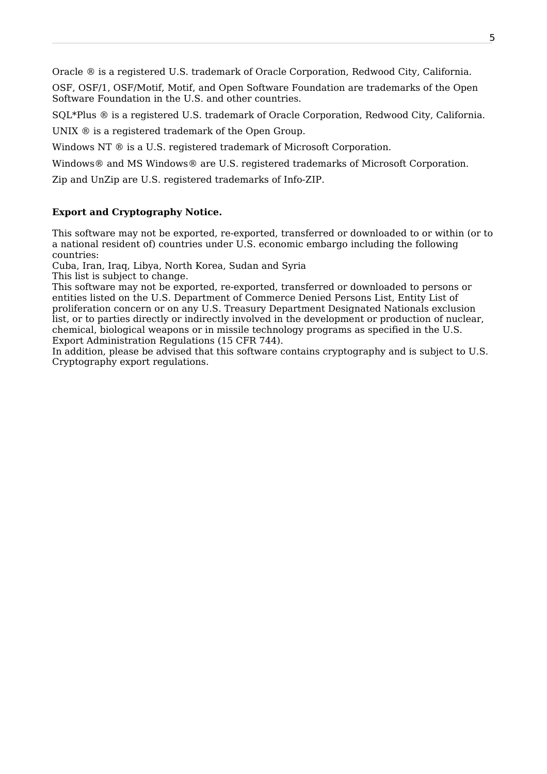Oracle ® is a registered U.S. trademark of Oracle Corporation, Redwood City, California.

OSF, OSF/1, OSF/Motif, Motif, and Open Software Foundation are trademarks of the Open Software Foundation in the U.S. and other countries.

SQL\*Plus ® is a registered U.S. trademark of Oracle Corporation, Redwood City, California.

UNIX  $\circledR$  is a registered trademark of the Open Group.

Windows NT  $\textcircled{e}$  is a U.S. registered trademark of Microsoft Corporation.

Windows® and MS Windows® are U.S. registered trademarks of Microsoft Corporation.

Zip and UnZip are U.S. registered trademarks of Info-ZIP.

#### **Export and Cryptography Notice.**

This software may not be exported, re-exported, transferred or downloaded to or within (or to a national resident of) countries under U.S. economic embargo including the following countries:

Cuba, Iran, Iraq, Libya, North Korea, Sudan and Syria

This list is subject to change.

This software may not be exported, re-exported, transferred or downloaded to persons or entities listed on the U.S. Department of Commerce Denied Persons List, Entity List of proliferation concern or on any U.S. Treasury Department Designated Nationals exclusion list, or to parties directly or indirectly involved in the development or production of nuclear, chemical, biological weapons or in missile technology programs as specified in the U.S. Export Administration Regulations (15 CFR 744).

In addition, please be advised that this software contains cryptography and is subject to U.S. Cryptography export regulations.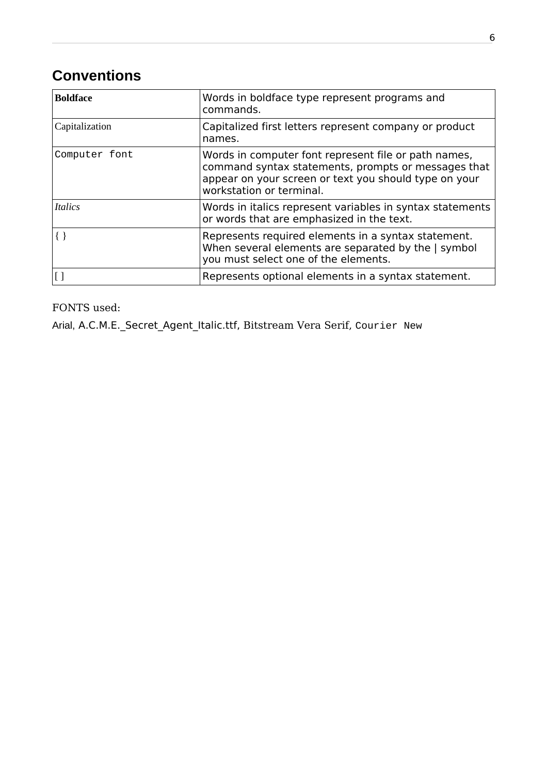# **Conventions**

| <b>Boldface</b> | Words in boldface type represent programs and<br>commands.                                                                                                                                       |
|-----------------|--------------------------------------------------------------------------------------------------------------------------------------------------------------------------------------------------|
| Capitalization  | Capitalized first letters represent company or product<br>names.                                                                                                                                 |
| Computer font   | Words in computer font represent file or path names,<br>command syntax statements, prompts or messages that<br>appear on your screen or text you should type on your<br>workstation or terminal. |
| <i>Italics</i>  | Words in italics represent variables in syntax statements<br>or words that are emphasized in the text.                                                                                           |
|                 | Represents required elements in a syntax statement.<br>When several elements are separated by the   symbol<br>you must select one of the elements.                                               |
|                 | Represents optional elements in a syntax statement.                                                                                                                                              |

FONTS used:

Arial, A.C.M.E.\_Secret\_Agent\_Italic.ttf, Bitstream Vera Serif, Courier New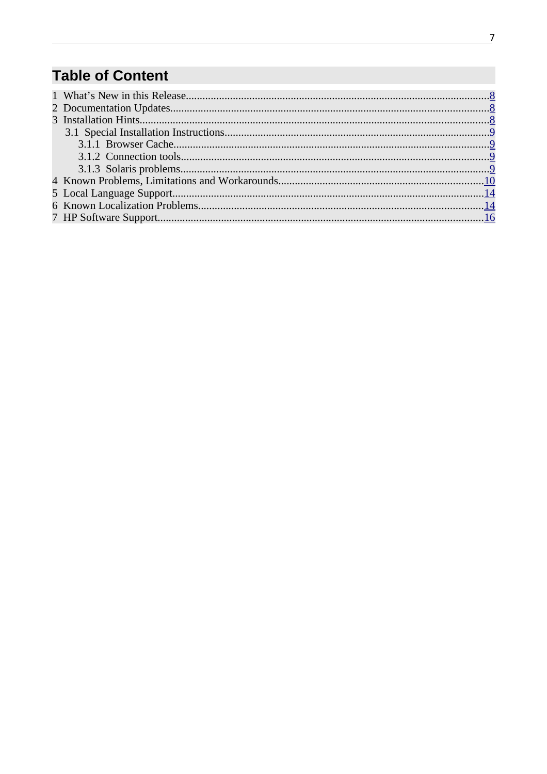# **Table of Content**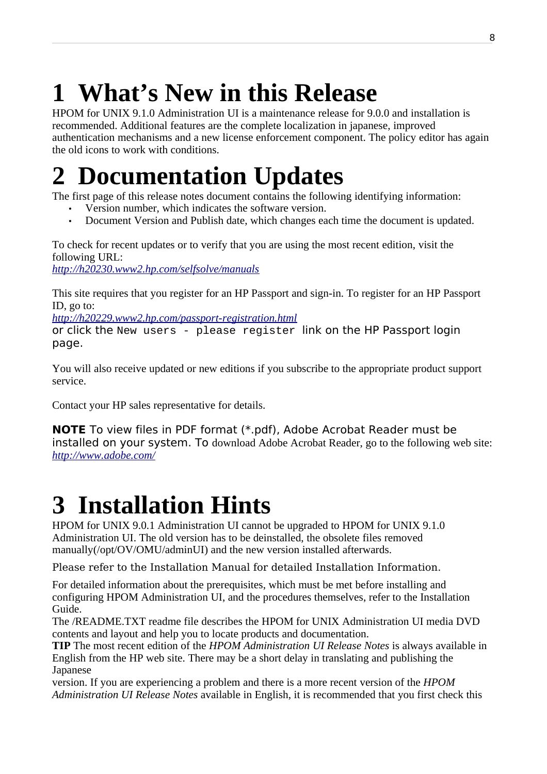# <span id="page-7-0"></span>**1 What's New in this Release**

HPOM for UNIX 9.1.0 Administration UI is a maintenance release for 9.0.0 and installation is recommended. Additional features are the complete localization in japanese, improved authentication mechanisms and a new license enforcement component. The policy editor has again the old icons to work with conditions.

# <span id="page-7-2"></span>**2 Documentation Updates**

The first page of this release notes document contains the following identifying information:

- Version number, which indicates the software version.
- Document Version and Publish date, which changes each time the document is updated.

To check for recent updates or to verify that you are using the most recent edition, visit the following URL: *<http://h20230.www2.hp.com/selfsolve/manuals>*

This site requires that you register for an HP Passport and sign-in. To register for an HP Passport ID, go to:

*<http://h20229.www2.hp.com/passport-registration.html>*

or click the New users - please register link on the HP Passport login page.

You will also receive updated or new editions if you subscribe to the appropriate product support service.

Contact your HP sales representative for details.

**NOTE** To view files in PDF format (\*.pdf), Adobe Acrobat Reader must be installed on your system. To download Adobe Acrobat Reader, go to the following web site: *<http://www.adobe.com/>*

# <span id="page-7-1"></span>**3 Installation Hints**

HPOM for UNIX 9.0.1 Administration UI cannot be upgraded to HPOM for UNIX 9.1.0 Administration UI. The old version has to be deinstalled, the obsolete files removed manually(/opt/OV/OMU/adminUI) and the new version installed afterwards.

Please refer to the Installation Manual for detailed Installation Information.

For detailed information about the prerequisites, which must be met before installing and configuring HPOM Administration UI, and the procedures themselves, refer to the Installation Guide.

The /README.TXT readme file describes the HPOM for UNIX Administration UI media DVD contents and layout and help you to locate products and documentation.

**TIP** The most recent edition of the *HPOM Administration UI Release Notes* is always available in English from the HP web site. There may be a short delay in translating and publishing the Japanese

version. If you are experiencing a problem and there is a more recent version of the *HPOM Administration UI Release Notes* available in English, it is recommended that you first check this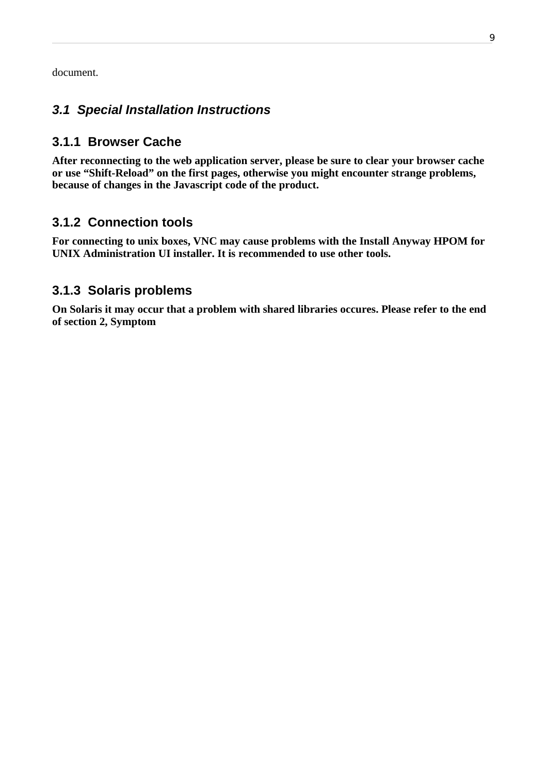document.

# <span id="page-8-3"></span>**3.1 Special Installation Instructions**

# <span id="page-8-2"></span>**3.1.1 Browser Cache**

**After reconnecting to the web application server, please be sure to clear your browser cache or use "Shift-Reload" on the first pages, otherwise you might encounter strange problems, because of changes in the Javascript code of the product.**

# <span id="page-8-1"></span>**3.1.2 Connection tools**

**For connecting to unix boxes, VNC may cause problems with the Install Anyway HPOM for UNIX Administration UI installer. It is recommended to use other tools.** 

# <span id="page-8-0"></span>**3.1.3 Solaris problems**

**On Solaris it may occur that a problem with shared libraries occures. Please refer to the end of section 2, Symptom**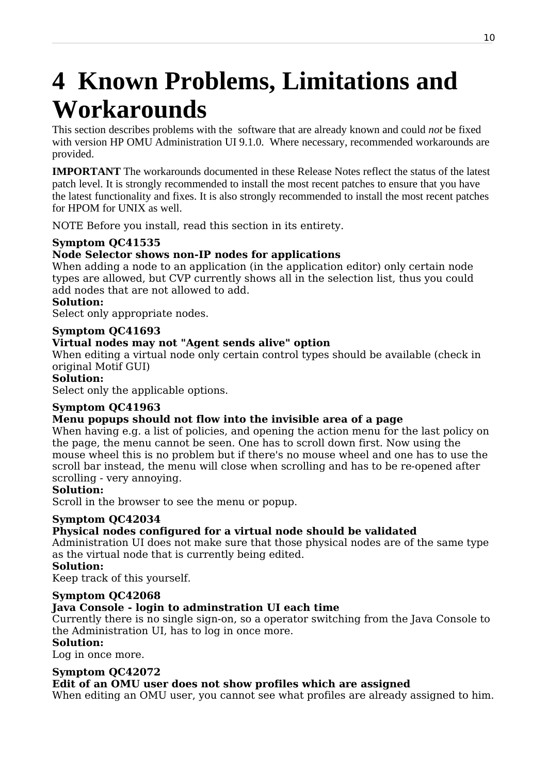# <span id="page-9-0"></span>**4 Known Problems, Limitations and Workarounds**

This section describes problems with the software that are already known and could *not* be fixed with version HP OMU Administration UI 9.1.0. Where necessary, recommended workarounds are provided.

**IMPORTANT** The workarounds documented in these Release Notes reflect the status of the latest patch level. It is strongly recommended to install the most recent patches to ensure that you have the latest functionality and fixes. It is also strongly recommended to install the most recent patches for HPOM for UNIX as well.

NOTE Before you install, read this section in its entirety.

# **Symptom QC41535**

# **Node Selector shows non-IP nodes for applications**

When adding a node to an application (in the application editor) only certain node types are allowed, but CVP currently shows all in the selection list, thus you could add nodes that are not allowed to add.

# **Solution:**

Select only appropriate nodes.

### **Symptom QC41693**

### **Virtual nodes may not "Agent sends alive" option**

When editing a virtual node only certain control types should be available (check in original Motif GUI)

#### **Solution:**

Select only the applicable options.

# **Symptom QC41963**

# **Menu popups should not flow into the invisible area of a page**

When having e.g. a list of policies, and opening the action menu for the last policy on the page, the menu cannot be seen. One has to scroll down first. Now using the mouse wheel this is no problem but if there's no mouse wheel and one has to use the scroll bar instead, the menu will close when scrolling and has to be re-opened after scrolling - very annoying.

#### **Solution:**

Scroll in the browser to see the menu or popup.

#### **Symptom QC42034**

# **Physical nodes configured for a virtual node should be validated**

Administration UI does not make sure that those physical nodes are of the same type as the virtual node that is currently being edited.

#### **Solution:**

Keep track of this yourself.

# **Symptom QC42068**

# **Java Console - login to adminstration UI each time**

Currently there is no single sign-on, so a operator switching from the Java Console to the Administration UI, has to log in once more.

#### **Solution:**

Log in once more.

#### **Symptom QC42072**

# **Edit of an OMU user does not show profiles which are assigned**

When editing an OMU user, you cannot see what profiles are already assigned to him.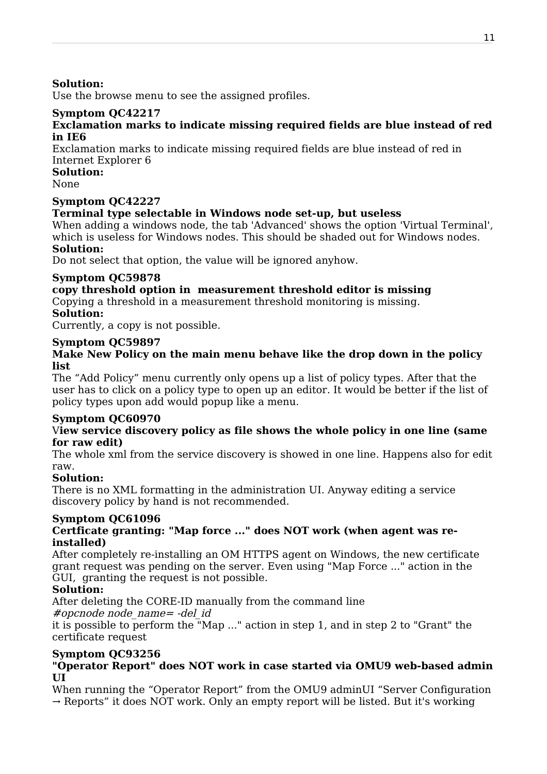#### **Solution:**

Use the browse menu to see the assigned profiles.

### **Symptom QC42217**

#### **Exclamation marks to indicate missing required fields are blue instead of red in IE6**

Exclamation marks to indicate missing required fields are blue instead of red in Internet Explorer 6

# **Solution:**

None

#### **Symptom QC42227**

#### **Terminal type selectable in Windows node set-up, but useless**

When adding a windows node, the tab 'Advanced' shows the option 'Virtual Terminal', which is useless for Windows nodes. This should be shaded out for Windows nodes. **Solution:**

Do not select that option, the value will be ignored anyhow.

#### **Symptom QC59878**

# **copy threshold option in measurement threshold editor is missing**

Copying a threshold in a measurement threshold monitoring is missing.

# **Solution:**

Currently, a copy is not possible.

#### **Symptom QC59897**

#### **Make New Policy on the main menu behave like the drop down in the policy list**

The "Add Policy" menu currently only opens up a list of policy types. After that the user has to click on a policy type to open up an editor. It would be better if the list of policy types upon add would popup like a menu.

#### **Symptom QC60970**

#### V**iew service discovery policy as file shows the whole policy in one line (same for raw edit)**

The whole xml from the service discovery is showed in one line. Happens also for edit raw.

#### **Solution:**

There is no XML formatting in the administration UI. Anyway editing a service discovery policy by hand is not recommended.

# **Symptom QC61096**

#### **Certficate granting: "Map force ..." does NOT work (when agent was reinstalled)**

After completely re-installing an OM HTTPS agent on Windows, the new certificate grant request was pending on the server. Even using "Map Force ..." action in the GUI, granting the request is not possible.

#### **Solution:**

After deleting the CORE-ID manually from the command line

#opcnode node\_name= -del\_id

it is possible to perform the "Map ..." action in step 1, and in step 2 to "Grant" the certificate request

#### **Symptom QC93256**

#### **"Operator Report" does NOT work in case started via OMU9 web-based admin UI**

When running the "Operator Report" from the OMU9 adminUI "Server Configuration  $\rightarrow$  Reports" it does NOT work. Only an empty report will be listed. But it's working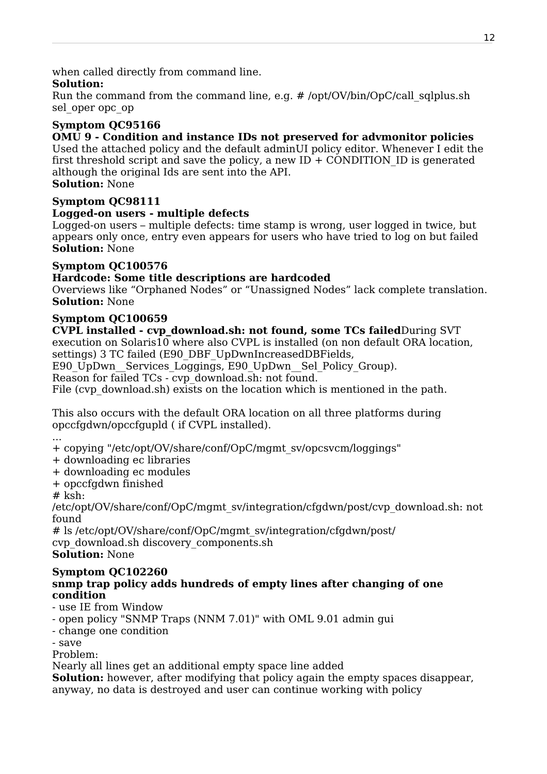when called directly from command line.

### **Solution:**

Run the command from the command line, e.g. # /opt/OV/bin/OpC/call\_sqlplus.sh sel\_oper opc\_op

# **Symptom QC95166**

#### **OMU 9 - Condition and instance IDs not preserved for advmonitor policies**

Used the attached policy and the default adminUI policy editor. Whenever I edit the first threshold script and save the policy, a new  $ID + CONDITION$  ID is generated although the original Ids are sent into the API.

# **Solution:** None

### **Symptom QC98111**

### **Logged-on users - multiple defects**

Logged-on users – multiple defects: time stamp is wrong, user logged in twice, but appears only once, entry even appears for users who have tried to log on but failed **Solution:** None

### **Symptom QC100576**

### **Hardcode: Some title descriptions are hardcoded**

Overviews like "Orphaned Nodes" or "Unassigned Nodes" lack complete translation. **Solution:** None

# **Symptom QC100659**

**CVPL installed - cvp\_download.sh: not found, some TCs failed**During SVT execution on Solaris $10$  where also CVPL is installed (on non default ORA location, settings) 3 TC failed (E90 DBF UpDwnIncreasedDBFields,

E90 UpDwn Services Loggings, E90 UpDwn Sel Policy Group).

Reason for failed TCs - cvp\_download.sh: not found.

File (cvp download.sh) exists on the location which is mentioned in the path.

This also occurs with the default ORA location on all three platforms during opccfgdwn/opccfgupld ( if CVPL installed).

...

+ copying "/etc/opt/OV/share/conf/OpC/mgmt\_sv/opcsvcm/loggings"

- + downloading ec libraries
- + downloading ec modules
- + opccfgdwn finished

 $#$  ksh:

/etc/opt/OV/share/conf/OpC/mgmt\_sv/integration/cfgdwn/post/cvp\_download.sh: not found

# ls /etc/opt/OV/share/conf/OpC/mgmt\_sv/integration/cfgdwn/post/ cvp\_download.sh discovery\_components.sh **Solution:** None

#### **Symptom QC102260 snmp trap policy adds hundreds of empty lines after changing of one condition**

- use IE from Window
- open policy "SNMP Traps (NNM 7.01)" with OML 9.01 admin gui
- change one condition
- save

Problem:

Nearly all lines get an additional empty space line added

**Solution:** however, after modifying that policy again the empty spaces disappear, anyway, no data is destroyed and user can continue working with policy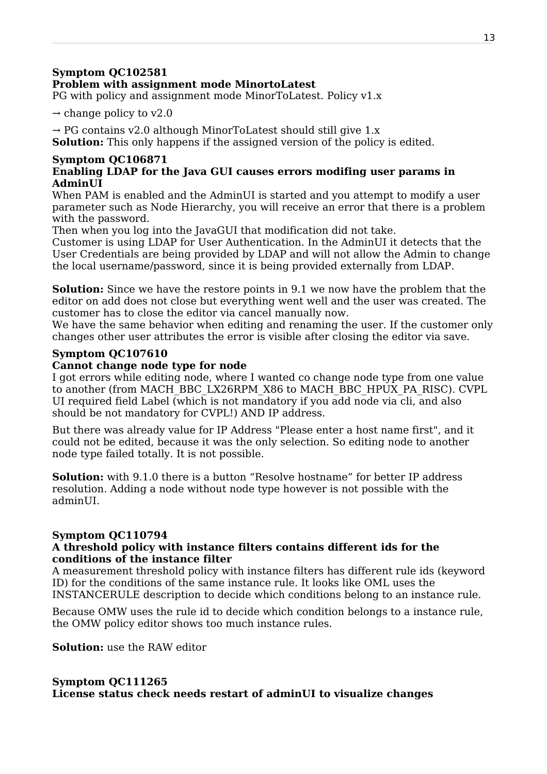#### **Symptom QC102581 Problem with assignment mode MinortoLatest**

PG with policy and assignment mode MinorToLatest. Policy v1.x

 $\rightarrow$  change policy to v2.0

 $\rightarrow$  PG contains v2.0 although MinorToLatest should still give 1.x

**Solution:** This only happens if the assigned version of the policy is edited.

#### **Symptom QC106871 Enabling LDAP for the Java GUI causes errors modifing user params in AdminUI**

When PAM is enabled and the AdminUI is started and you attempt to modify a user parameter such as Node Hierarchy, you will receive an error that there is a problem with the password.

Then when you log into the JavaGUI that modification did not take.

Customer is using LDAP for User Authentication. In the AdminUI it detects that the User Credentials are being provided by LDAP and will not allow the Admin to change the local username/password, since it is being provided externally from LDAP.

**Solution:** Since we have the restore points in 9.1 we now have the problem that the editor on add does not close but everything went well and the user was created. The customer has to close the editor via cancel manually now.

We have the same behavior when editing and renaming the user. If the customer only changes other user attributes the error is visible after closing the editor via save.

### **Symptom QC107610**

#### **Cannot change node type for node**

I got errors while editing node, where I wanted co change node type from one value to another (from MACH\_BBC\_LX26RPM\_X86 to MACH\_BBC\_HPUX\_PA\_RISC). CVPL UI required field Label (which is not mandatory if you add node via cli, and also should be not mandatory for CVPL!) AND IP address.

But there was already value for IP Address "Please enter a host name first", and it could not be edited, because it was the only selection. So editing node to another node type failed totally. It is not possible.

**Solution:** with 9.1.0 there is a button "Resolve hostname" for better IP address resolution. Adding a node without node type however is not possible with the adminUI.

#### **Symptom QC110794 A threshold policy with instance filters contains different ids for the conditions of the instance filter**

A measurement threshold policy with instance filters has different rule ids (keyword ID) for the conditions of the same instance rule. It looks like OML uses the INSTANCERULE description to decide which conditions belong to an instance rule.

Because OMW uses the rule id to decide which condition belongs to a instance rule, the OMW policy editor shows too much instance rules.

**Solution:** use the RAW editor

#### **Symptom QC111265 License status check needs restart of adminUI to visualize changes**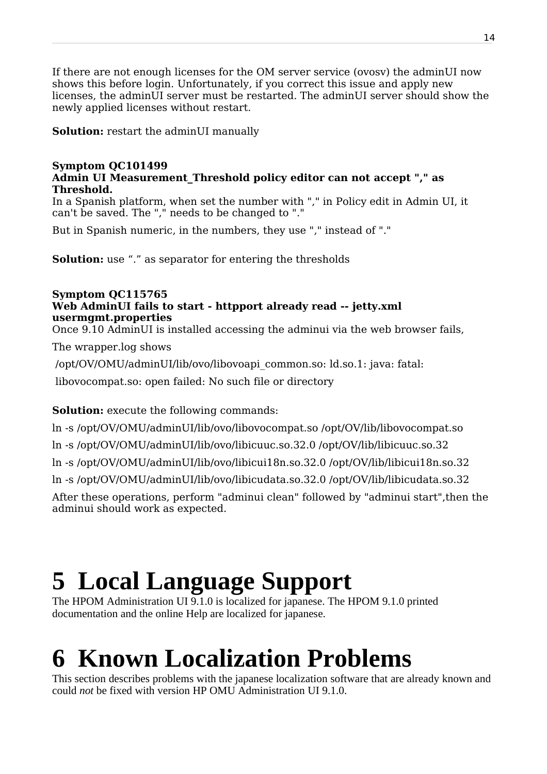If there are not enough licenses for the OM server service (ovosv) the adminUI now shows this before login. Unfortunately, if you correct this issue and apply new licenses, the adminUI server must be restarted. The adminUI server should show the newly applied licenses without restart.

**Solution:** restart the adminUI manually

#### **Symptom QC101499 Admin UI Measurement\_Threshold policy editor can not accept "," as Threshold.**

In a Spanish platform, when set the number with "," in Policy edit in Admin UI, it can't be saved. The "," needs to be changed to "."

But in Spanish numeric, in the numbers, they use "," instead of "."

**Solution:** use "." as separator for entering the thresholds

#### **Symptom QC115765 Web AdminUI fails to start - httpport already read -- jetty.xml usermgmt.properties**

Once 9.10 AdminUI is installed accessing the adminui via the web browser fails,

The wrapper.log shows

/opt/OV/OMU/adminUI/lib/ovo/libovoapi\_common.so: ld.so.1: java: fatal:

libovocompat.so: open failed: No such file or directory

# **Solution:** execute the following commands:

ln -s /opt/OV/OMU/adminUI/lib/ovo/libovocompat.so /opt/OV/lib/libovocompat.so ln -s /opt/OV/OMU/adminUI/lib/ovo/libicuuc.so.32.0 /opt/OV/lib/libicuuc.so.32 ln -s /opt/OV/OMU/adminUI/lib/ovo/libicui18n.so.32.0 /opt/OV/lib/libicui18n.so.32 ln -s /opt/OV/OMU/adminUI/lib/ovo/libicudata.so.32.0 /opt/OV/lib/libicudata.so.32 After these operations, perform "adminui clean" followed by "adminui start",then the adminui should work as expected.

# <span id="page-13-1"></span>**5 Local Language Support**

The HPOM Administration UI 9.1.0 is localized for japanese. The HPOM 9.1.0 printed documentation and the online Help are localized for japanese.

# <span id="page-13-0"></span>**6 Known Localization Problems**

This section describes problems with the japanese localization software that are already known and could *not* be fixed with version HP OMU Administration UI 9.1.0.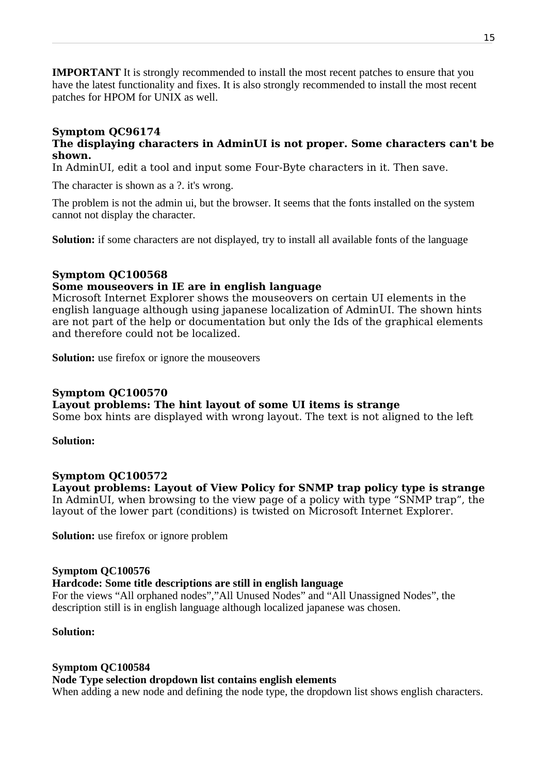**IMPORTANT** It is strongly recommended to install the most recent patches to ensure that you have the latest functionality and fixes. It is also strongly recommended to install the most recent patches for HPOM for UNIX as well.

#### **Symptom QC96174**

#### **The displaying characters in AdminUI is not proper. Some characters can't be shown.**

In AdminUI, edit a tool and input some Four-Byte characters in it. Then save.

The character is shown as a ?. it's wrong.

The problem is not the admin ui, but the browser. It seems that the fonts installed on the system cannot not display the character.

**Solution:** if some characters are not displayed, try to install all available fonts of the language

#### **Symptom QC100568**

#### **Some mouseovers in IE are in english language**

Microsoft Internet Explorer shows the mouseovers on certain UI elements in the english language although using japanese localization of AdminUI. The shown hints are not part of the help or documentation but only the Ids of the graphical elements and therefore could not be localized.

**Solution:** use firefox or ignore the mouseovers

#### **Symptom QC100570**

**Layout problems: The hint layout of some UI items is strange**

Some box hints are displayed with wrong layout. The text is not aligned to the left

**Solution:**

#### **Symptom QC100572**

**Layout problems: Layout of View Policy for SNMP trap policy type is strange** In AdminUI, when browsing to the view page of a policy with type "SNMP trap", the layout of the lower part (conditions) is twisted on Microsoft Internet Explorer.

**Solution:** use firefox or ignore problem

#### **Symptom QC100576**

#### **Hardcode: Some title descriptions are still in english language**

For the views "All orphaned nodes","All Unused Nodes" and "All Unassigned Nodes", the description still is in english language although localized japanese was chosen.

#### **Solution:**

#### **Symptom QC100584**

#### **Node Type selection dropdown list contains english elements**

When adding a new node and defining the node type, the dropdown list shows english characters.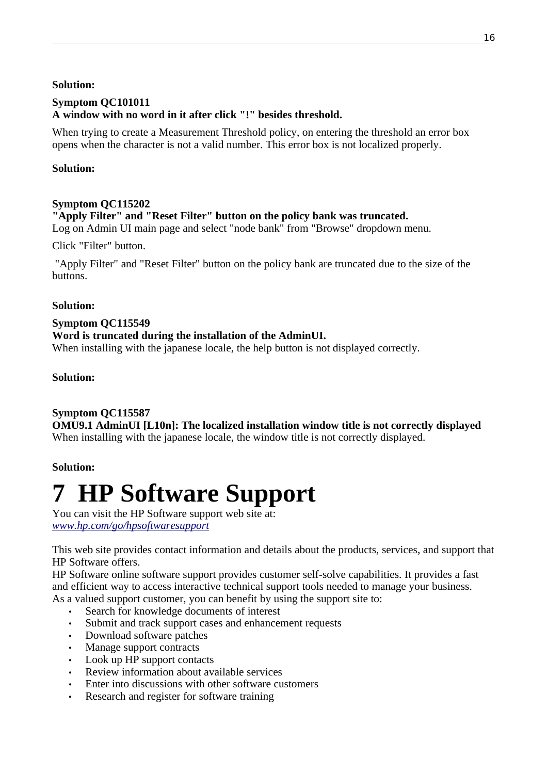#### **Solution:**

#### **Symptom QC101011 A window with no word in it after click "!" besides threshold.**

When trying to create a Measurement Threshold policy, on entering the threshold an error box opens when the character is not a valid number. This error box is not localized properly.

#### **Solution:**

#### **Symptom QC115202**

**"Apply Filter" and "Reset Filter" button on the policy bank was truncated.** Log on Admin UI main page and select "node bank" from "Browse" dropdown menu.

Click "Filter" button.

 "Apply Filter" and "Reset Filter" button on the policy bank are truncated due to the size of the buttons.

#### **Solution:**

#### **Symptom QC115549 Word is truncated during the installation of the AdminUI.**

When installing with the japanese locale, the help button is not displayed correctly.

#### **Solution:**

#### **Symptom QC115587**

**OMU9.1 AdminUI [L10n]: The localized installation window title is not correctly displayed** When installing with the japanese locale, the window title is not correctly displayed.

#### **Solution:**

# <span id="page-15-0"></span>**7 HP Software Support**

You can visit the HP Software support web site at: *[www.hp.com/go/hpsoftwaresupport](http://www.hp.com/go/hpsoftwaresupport)*

This web site provides contact information and details about the products, services, and support that HP Software offers.

HP Software online software support provides customer self-solve capabilities. It provides a fast and efficient way to access interactive technical support tools needed to manage your business. As a valued support customer, you can benefit by using the support site to:

- Search for knowledge documents of interest
- Submit and track support cases and enhancement requests
- Download software patches
- Manage support contracts
- Look up HP support contacts
- Review information about available services
- Enter into discussions with other software customers
- Research and register for software training